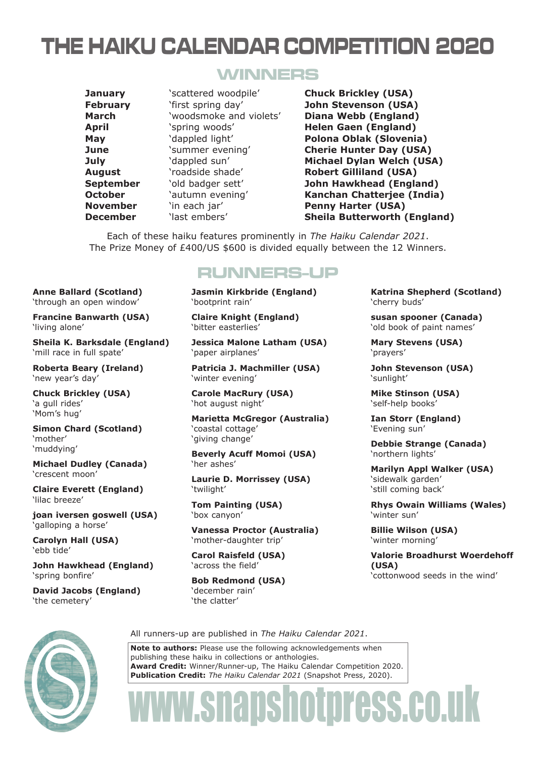## THE HAIKU CALENDAR COMPETITION 2020

### WINNERS

**Anne Ballard (Scotland)** 'through an open window' **Francine Banwarth (USA)**

'mill race in full spate'

**Roberta Beary (Ireland)**

**Simon Chard (Scotland)**

**Michael Dudley (Canada)**

**Claire Everett (England)**

**joan iversen goswell (USA)**

**John Hawkhead (England)**

**David Jacobs (England)**

**Chuck Brickley (USA)**

**Sheila K. Barksdale (England)**

'living alone'

'new year's day'

'crescent moon'

'galloping a horse' **Carolyn Hall (USA)**

'lilac breeze'

'ebb tide'

'spring bonfire'

'the cemetery'

'a gull rides' 'Mom's hug'

'mother' 'muddying' **January** 'scattered woodpile' **Chuck Brickley (USA) February** 'first spring day' **John Stevenson (USA) March** 'woodsmoke and violets' **Diana Webb (England) April** 'spring woods' **Helen Gaen (England) August** 'roadside shade' **Robert Gilliland (USA) November** 'in each jar' **Penny Harter (USA)** 

**May** 'dappled light' **Polona Oblak (Slovenia) June** 'summer evening' **Cherie Hunter Day (USA) July** 'dappled sun' **Michael Dylan Welch (USA) September** 'old badger sett' **John Hawkhead (England) October Constructional Chatteries (India) Kanchan Chatteriee (India) December** 'last embers' **Sheila Butterworth (England)**

Each of these haiku features prominently in *The Haiku Calendar 2021*. The Prize Money of £400/US \$600 is divided equally between the 12 Winners.

### RUNNERS-UP

**Jasmin Kirkbride (England)** 'bootprint rain'

**Claire Knight (England)** 'bitter easterlies'

**Jessica Malone Latham (USA)** 'paper airplanes'

**Patricia J. Machmiller (USA)** 'winter evening'

**Carole MacRury (USA)** 'hot august night'

**Marietta McGregor (Australia)** 'coastal cottage' 'giving change'

**Beverly Acuff Momoi (USA)** 'her ashes'

**Laurie D. Morrissey (USA)** 'twilight'

**Tom Painting (USA)** 'box canyon'

**Vanessa Proctor (Australia)** 'mother-daughter trip'

**Carol Raisfeld (USA)** 'across the field'

**Bob Redmond (USA)** 'december rain' 'the clatter'

**Katrina Shepherd (Scotland)** 'cherry buds'

**susan spooner (Canada)** 'old book of paint names'

**Mary Stevens (USA)** 'prayers'

**John Stevenson (USA)** 'sunlight'

**Mike Stinson (USA)** 'self-help books'

**Ian Storr (England)** 'Evening sun'

**Debbie Strange (Canada)** 'northern lights'

**Marilyn Appl Walker (USA)** 'sidewalk garden' 'still coming back'

**Rhys Owain Williams (Wales)** 'winter sun'

**Billie Wilson (USA)** 'winter morning'

**Valorie Broadhurst Woerdehoff (USA)** 'cottonwood seeds in the wind'



All runners-up are published in *The Haiku Calendar 2021*.

**Note to authors:** Please use the following acknowledgements when publishing these haiku in collections or anthologies. **Award Credit:** Winner/Runner-up, The Haiku Calendar Competition 2020. **Publication Credit:** *The Haiku Calendar 2021* (Snapshot Press, 2020).

# www.snapshotpress.co.uk